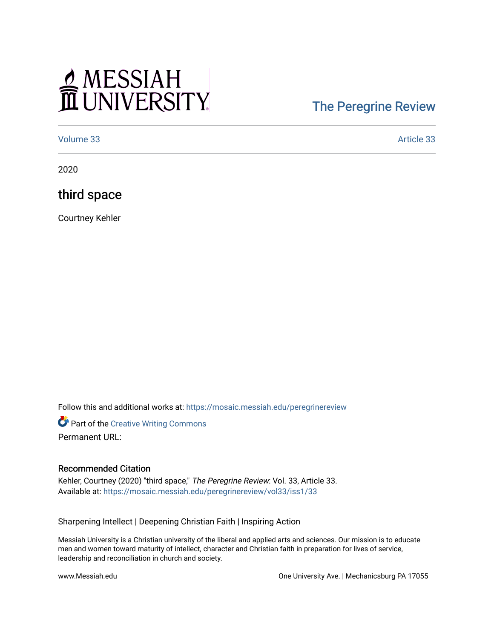# MESSIAH

## [The Peregrine Review](https://mosaic.messiah.edu/peregrinereview)

[Volume 33](https://mosaic.messiah.edu/peregrinereview/vol33) Article 33

2020

third space

Courtney Kehler

Follow this and additional works at: [https://mosaic.messiah.edu/peregrinereview](https://mosaic.messiah.edu/peregrinereview?utm_source=mosaic.messiah.edu%2Fperegrinereview%2Fvol33%2Fiss1%2F33&utm_medium=PDF&utm_campaign=PDFCoverPages) 

**Part of the Creative Writing Commons** Permanent URL:

#### Recommended Citation

Kehler, Courtney (2020) "third space," The Peregrine Review: Vol. 33, Article 33. Available at: [https://mosaic.messiah.edu/peregrinereview/vol33/iss1/33](https://mosaic.messiah.edu/peregrinereview/vol33/iss1/33?utm_source=mosaic.messiah.edu%2Fperegrinereview%2Fvol33%2Fiss1%2F33&utm_medium=PDF&utm_campaign=PDFCoverPages)

Sharpening Intellect | Deepening Christian Faith | Inspiring Action

Messiah University is a Christian university of the liberal and applied arts and sciences. Our mission is to educate men and women toward maturity of intellect, character and Christian faith in preparation for lives of service, leadership and reconciliation in church and society.

www.Messiah.edu One University Ave. | Mechanicsburg PA 17055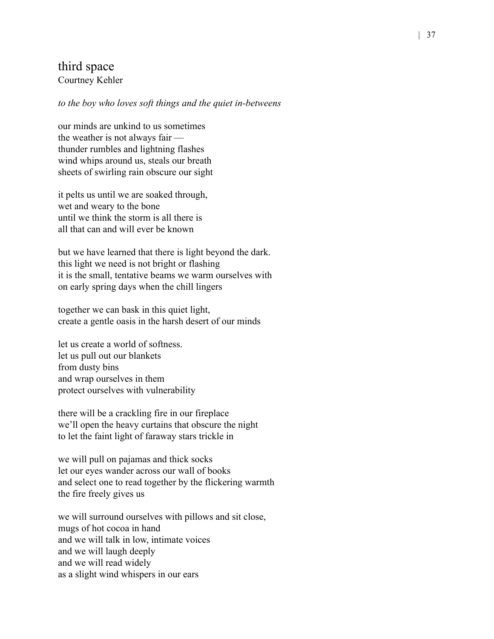### third space Courtney Kehler

#### *to the boy who loves soft things and the quiet in-betweens*

our minds are unkind to us sometimes the weather is not always fair thunder rumbles and lightning flashes wind whips around us, steals our breath sheets of swirling rain obscure our sight

it pelts us until we are soaked through, wet and weary to the bone until we think the storm is all there is all that can and will ever be known

but we have learned that there is light beyond the dark. this light we need is not bright or flashing it is the small, tentative beams we warm ourselves with on early spring days when the chill lingers

together we can bask in this quiet light, create a gentle oasis in the harsh desert of our minds

let us create a world of softness. let us pull out our blankets from dusty bins and wrap ourselves in them protect ourselves with vulnerability

there will be a crackling fire in our fireplace we'll open the heavy curtains that obscure the night to let the faint light of faraway stars trickle in

we will pull on pajamas and thick socks let our eyes wander across our wall of books and select one to read together by the flickering warmth the fire freely gives us

we will surround ourselves with pillows and sit close, mugs of hot cocoa in hand and we will talk in low, intimate voices and we will laugh deeply and we will read widely as a slight wind whispers in our ears